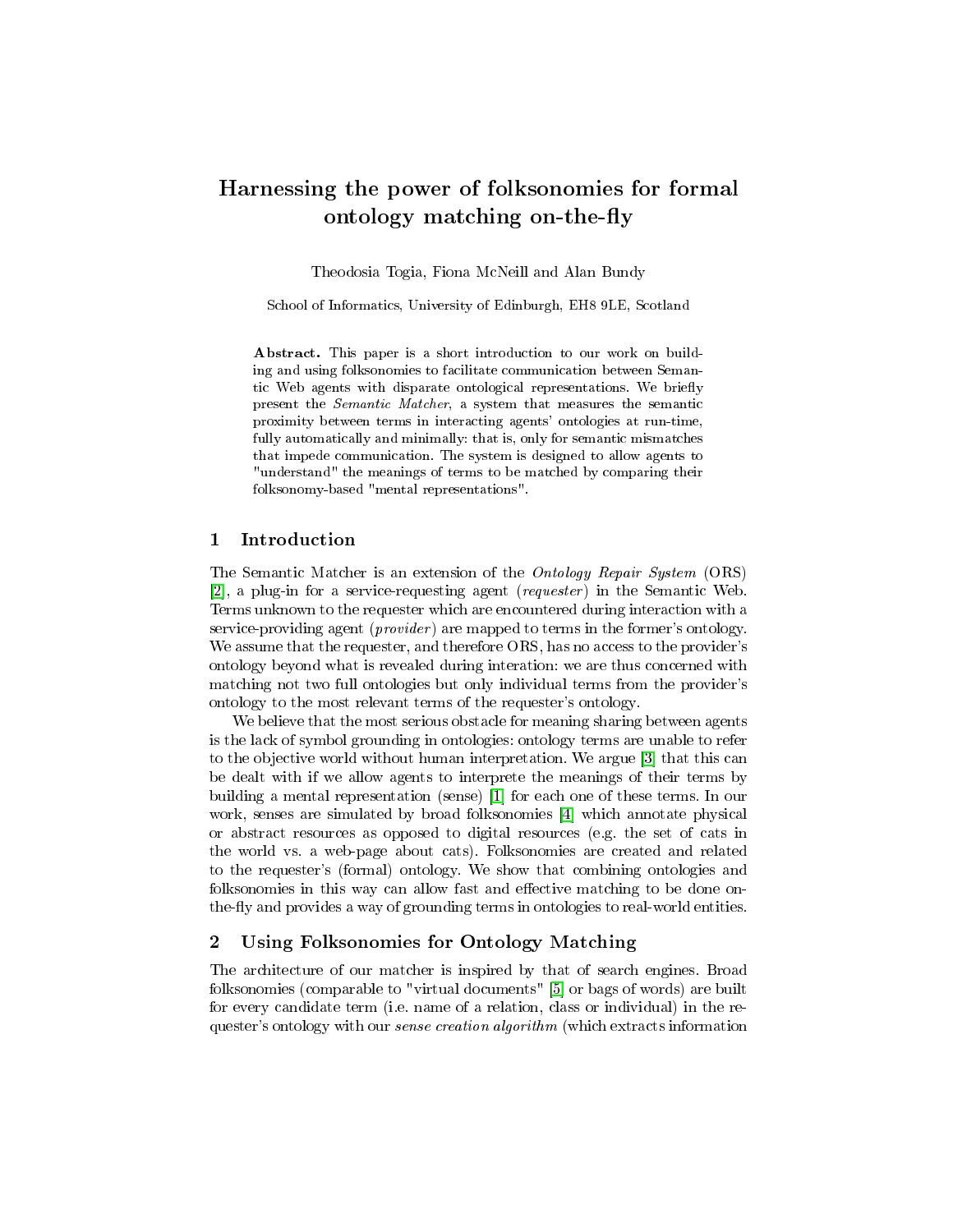# Harnessing the power of folksonomies for formal ontology matching on-the-fly

Theodosia Togia, Fiona McNeill and Alan Bundy

School of Informatics, University of Edinburgh, EH8 9LE, Scotland

Abstract. This paper is a short introduction to our work on building and using folksonomies to facilitate communication between Semantic Web agents with disparate ontological representations. We briefly present the Semantic Matcher, a system that measures the semantic proximity between terms in interacting agents' ontologies at run-time, fully automatically and minimally: that is, only for semantic mismatches that impede communication. The system is designed to allow agents to "understand" the meanings of terms to be matched by comparing their folksonomy-based "mental representations".

#### 1 Introduction

The Semantic Matcher is an extension of the Ontology Repair System (ORS)  $[2]$ , a plug-in for a service-requesting agent (*requester*) in the Semantic Web. Terms unknown to the requester which are encountered during interaction with a service-providing agent (*provider*) are mapped to terms in the former's ontology. We assume that the requester, and therefore ORS, has no access to the provider's ontology beyond what is revealed during interation: we are thus concerned with matching not two full ontologies but only individual terms from the provider's ontology to the most relevant terms of the requester's ontology.

We believe that the most serious obstacle for meaning sharing between agents is the lack of symbol grounding in ontologies: ontology terms are unable to refer to the objective world without human interpretation. We argue [\[3\]](#page-1-1) that this can be dealt with if we allow agents to interprete the meanings of their terms by building a mental representation (sense) [\[1\]](#page-1-2) for each one of these terms. In our work, senses are simulated by broad folksonomies [\[4\]](#page-1-3) which annotate physical or abstract resources as opposed to digital resources (e.g. the set of cats in the world vs. a web-page about cats). Folksonomies are created and related to the requester's (formal) ontology. We show that combining ontologies and folksonomies in this way can allow fast and effective matching to be done onthe-fly and provides a way of grounding terms in ontologies to real-world entities.

### 2 Using Folksonomies for Ontology Matching

The architecture of our matcher is inspired by that of search engines. Broad folksonomies (comparable to "virtual documents" [\[5\]](#page-1-4) or bags of words) are built for every candidate term (i.e. name of a relation, class or individual) in the requester's ontology with our *sense creation algorithm* (which extracts information